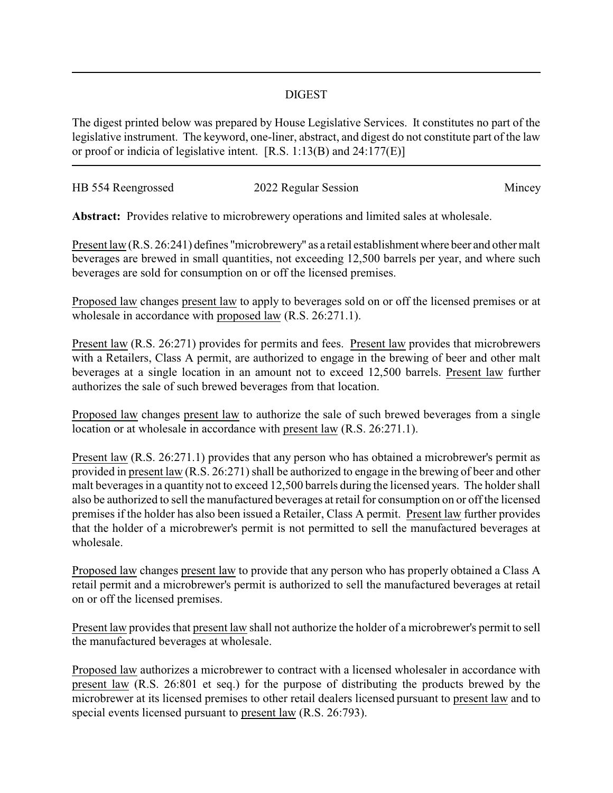## DIGEST

The digest printed below was prepared by House Legislative Services. It constitutes no part of the legislative instrument. The keyword, one-liner, abstract, and digest do not constitute part of the law or proof or indicia of legislative intent. [R.S. 1:13(B) and 24:177(E)]

| HB 554 Reengrossed | 2022 Regular Session | Mincey |
|--------------------|----------------------|--------|
|                    |                      |        |

**Abstract:** Provides relative to microbrewery operations and limited sales at wholesale.

Present law (R.S. 26:241) defines "microbrewery" as a retail establishment where beer and other malt beverages are brewed in small quantities, not exceeding 12,500 barrels per year, and where such beverages are sold for consumption on or off the licensed premises.

Proposed law changes present law to apply to beverages sold on or off the licensed premises or at wholesale in accordance with proposed law (R.S. 26:271.1).

Present law (R.S. 26:271) provides for permits and fees. Present law provides that microbrewers with a Retailers, Class A permit, are authorized to engage in the brewing of beer and other malt beverages at a single location in an amount not to exceed 12,500 barrels. Present law further authorizes the sale of such brewed beverages from that location.

Proposed law changes present law to authorize the sale of such brewed beverages from a single location or at wholesale in accordance with present law (R.S. 26:271.1).

Present law (R.S. 26:271.1) provides that any person who has obtained a microbrewer's permit as provided in present law (R.S. 26:271) shall be authorized to engage in the brewing of beer and other malt beverages in a quantity not to exceed 12,500 barrels during the licensed years. The holder shall also be authorized to sell the manufactured beverages at retail for consumption on or off the licensed premises if the holder has also been issued a Retailer, Class A permit. Present law further provides that the holder of a microbrewer's permit is not permitted to sell the manufactured beverages at wholesale.

Proposed law changes present law to provide that any person who has properly obtained a Class A retail permit and a microbrewer's permit is authorized to sell the manufactured beverages at retail on or off the licensed premises.

Present law provides that present law shall not authorize the holder of a microbrewer's permit to sell the manufactured beverages at wholesale.

Proposed law authorizes a microbrewer to contract with a licensed wholesaler in accordance with present law (R.S. 26:801 et seq.) for the purpose of distributing the products brewed by the microbrewer at its licensed premises to other retail dealers licensed pursuant to present law and to special events licensed pursuant to present law (R.S. 26:793).